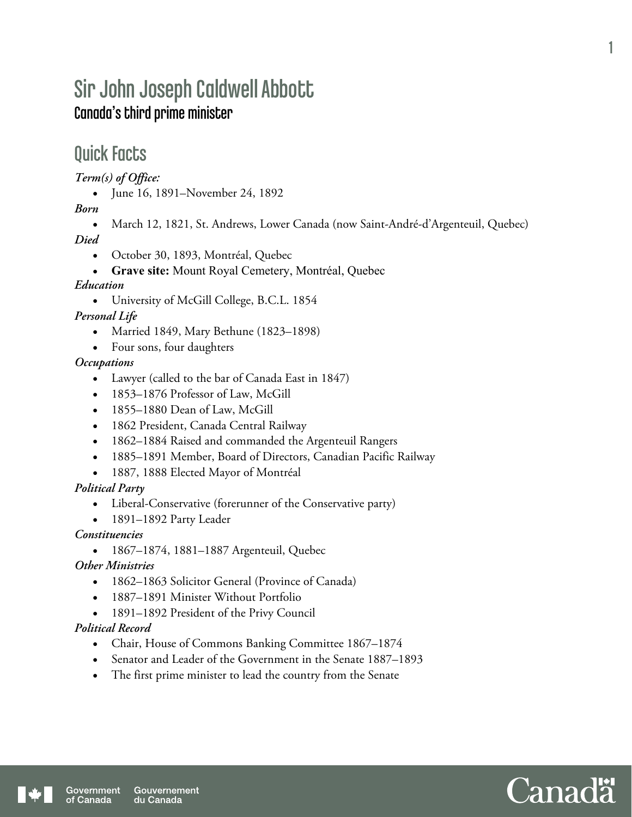# Sir John Joseph Caldwell Abbott Canada's third prime minister

## Quick Facts

*Term(s) of Office:* 

June 16, 1891–November 24, 1892

*Born* 

March 12, 1821, St. Andrews, Lower Canada (now Saint-André-d'Argenteuil, Quebec)

*Died* 

- October 30, 1893, Montréal, Quebec
- **Grave site:** Mount Royal Cemetery, Montréal, Quebec

#### *Education*

University of McGill College, B.C.L. 1854

*Personal Life* 

- Married 1849, Mary Bethune (1823–1898)
- Four sons, four daughters

*Occupations* 

- Lawyer (called to the bar of Canada East in 1847)
- 1853–1876 Professor of Law, McGill
- 1855–1880 Dean of Law, McGill
- 1862 President, Canada Central Railway
- 1862–1884 Raised and commanded the Argenteuil Rangers
- 1885–1891 Member, Board of Directors, Canadian Pacific Railway
- 1887, 1888 Elected Mayor of Montréal

*Political Party* 

- Liberal-Conservative (forerunner of the Conservative party)
- 1891–1892 Party Leader

*Constituencies* 

• 1867–1874, 1881–1887 Argenteuil, Quebec

*Other Ministries* 

- 1862–1863 Solicitor General (Province of Canada)
- 1887–1891 Minister Without Portfolio
- 1891–1892 President of the Privy Council

#### *Political Record*

- Chair, House of Commons Banking Committee 1867–1874
- Senator and Leader of the Government in the Senate 1887–1893
- The first prime minister to lead the country from the Senate

1

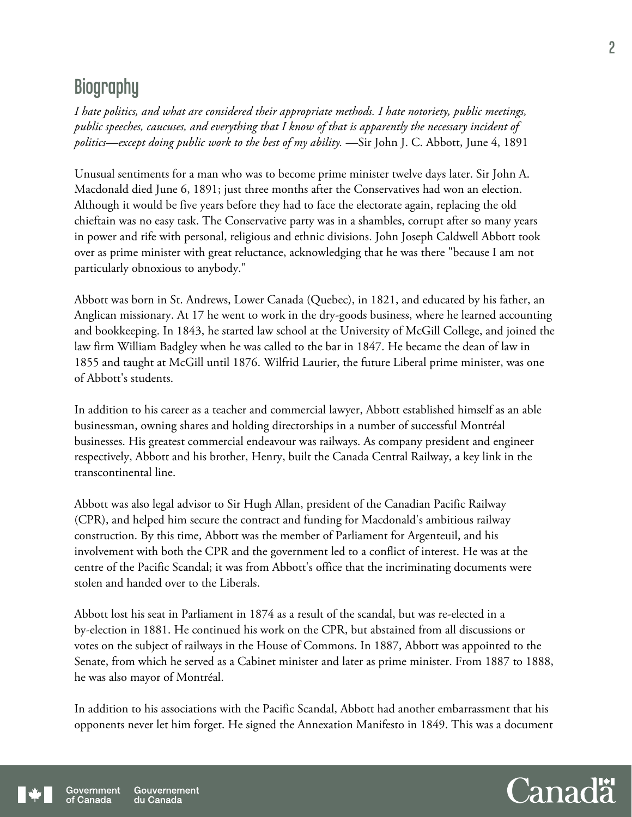# **Biography**

*I hate politics, and what are considered their appropriate methods. I hate notoriety, public meetings, public speeches, caucuses, and everything that I know of that is apparently the necessary incident of politics—except doing public work to the best of my ability.* —Sir John J. C. Abbott, June 4, 1891

Unusual sentiments for a man who was to become prime minister twelve days later. Sir John A. Macdonald died June 6, 1891; just three months after the Conservatives had won an election. Although it would be five years before they had to face the electorate again, replacing the old chieftain was no easy task. The Conservative party was in a shambles, corrupt after so many years in power and rife with personal, religious and ethnic divisions. John Joseph Caldwell Abbott took over as prime minister with great reluctance, acknowledging that he was there "because I am not particularly obnoxious to anybody."

Abbott was born in St. Andrews, Lower Canada (Quebec), in 1821, and educated by his father, an Anglican missionary. At 17 he went to work in the dry-goods business, where he learned accounting and bookkeeping. In 1843, he started law school at the University of McGill College, and joined the law firm William Badgley when he was called to the bar in 1847. He became the dean of law in 1855 and taught at McGill until 1876. Wilfrid Laurier, the future Liberal prime minister, was one of Abbott's students.

In addition to his career as a teacher and commercial lawyer, Abbott established himself as an able businessman, owning shares and holding directorships in a number of successful Montréal businesses. His greatest commercial endeavour was railways. As company president and engineer respectively, Abbott and his brother, Henry, built the Canada Central Railway, a key link in the transcontinental line.

Abbott was also legal advisor to Sir Hugh Allan, president of the Canadian Pacific Railway (CPR), and helped him secure the contract and funding for Macdonald's ambitious railway construction. By this time, Abbott was the member of Parliament for Argenteuil, and his involvement with both the CPR and the government led to a conflict of interest. He was at the centre of the Pacific Scandal; it was from Abbott's office that the incriminating documents were stolen and handed over to the Liberals.

Abbott lost his seat in Parliament in 1874 as a result of the scandal, but was re-elected in a by-election in 1881. He continued his work on the CPR, but abstained from all discussions or votes on the subject of railways in the House of Commons. In 1887, Abbott was appointed to the Senate, from which he served as a Cabinet minister and later as prime minister. From 1887 to 1888, he was also mayor of Montréal.

In addition to his associations with the Pacific Scandal, Abbott had another embarrassment that his opponents never let him forget. He signed the Annexation Manifesto in 1849. This was a document

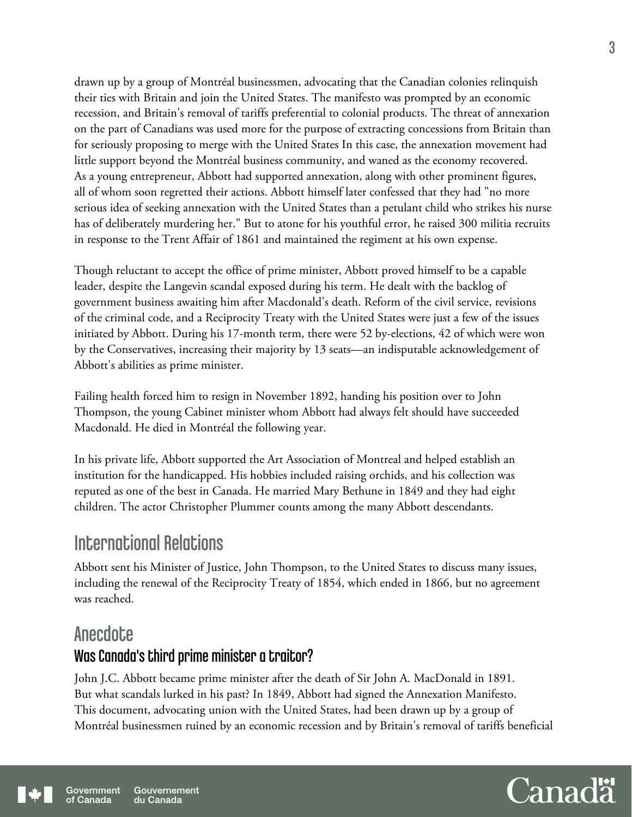drawn up by a group of Montréal businessmen, advocating that the Canadian colonies relinquish their ties with Britain and join the United States. The manifesto was prompted by an economic recession, and Britain's removal of tariffs preferential to colonial products. The threat of annexation on the part of Canadians was used more for the purpose of extracting concessions from Britain than for seriously proposing to merge with the United States In this case, the annexation movement had little support beyond the Montréal business community, and waned as the economy recovered. As a young entrepreneur, Abbott had supported annexation, along with other prominent figures, all of whom soon regretted their actions. Abbott himself later confessed that they had "no more serious idea of seeking annexation with the United States than a petulant child who strikes his nurse has of deliberately murdering her." But to atone for his youthful error, he raised 300 militia recruits in response to the Trent Affair of 1861 and maintained the regiment at his own expense.

Though reluctant to accept the office of prime minister, Abbott proved himself to be a capable leader, despite the Langevin scandal exposed during his term. He dealt with the backlog of government business awaiting him after Macdonald's death. Reform of the civil service, revisions of the criminal code, and a Reciprocity Treaty with the United States were just a few of the issues initiated by Abbott. During his 17-month term, there were 52 by-elections, 42 of which were won by the Conservatives, increasing their majority by 13 seats—an indisputable acknowledgement of Abbott's abilities as prime minister.

Failing health forced him to resign in November 1892, handing his position over to John Thompson, the young Cabinet minister whom Abbott had always felt should have succeeded Macdonald. He died in Montréal the following year.

In his private life, Abbott supported the Art Association of Montreal and helped establish an institution for the handicapped. His hobbies included raising orchids, and his collection was reputed as one of the best in Canada. He married Mary Bethune in 1849 and they had eight children. The actor Christopher Plummer counts among the many Abbott descendants.

## International Relations

Abbott sent his Minister of Justice, John Thompson, to the United States to discuss many issues, including the renewal of the Reciprocity Treaty of 1854, which ended in 1866, but no agreement was reached.

### **Anecdote**

### Was Canada's third prime minister a traitor?

John J.C. Abbott became prime minister after the death of Sir John A. MacDonald in 1891. But what scandals lurked in his past? In 1849, Abbott had signed the Annexation Manifesto. This document, advocating union with the United States, had been drawn up by a group of Montréal businessmen ruined by an economic recession and by Britain's removal of tariffs beneficial